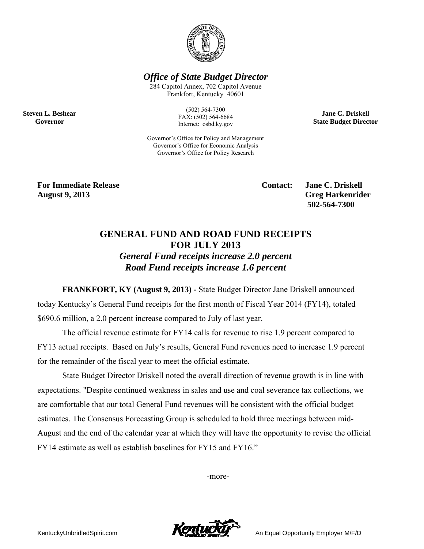

**Office of State Budget Director** 

284 Capitol Annex, 702 Capitol Avenue Frankfort, Kentucky 40601

> $(502) 564 - 7300$ FAX: (502) 564-6684 Internet: osbd.ky.gov

Governor's Office for Policy and Management Governor's Office for Economic Analysis Governor's Office for Policy Research

**Jane C. Driskell State Budget Director** 

**For Immediate Release August 9, 2013** 

**Steven L. Beshear** 

Governor

**Contact:** 

**Jane C. Driskell Greg Harkenrider** 502-564-7300

## **GENERAL FUND AND ROAD FUND RECEIPTS FOR JULY 2013 General Fund receipts increase 2.0 percent** Road Fund receipts increase 1.6 percent

**FRANKFORT, KY (August 9, 2013) - State Budget Director Jane Driskell announced** today Kentucky's General Fund receipts for the first month of Fiscal Year 2014 (FY14), totaled \$690.6 million, a 2.0 percent increase compared to July of last year.

The official revenue estimate for FY14 calls for revenue to rise 1.9 percent compared to FY13 actual receipts. Based on July's results, General Fund revenues need to increase 1.9 percent for the remainder of the fiscal year to meet the official estimate.

State Budget Director Driskell noted the overall direction of revenue growth is in line with expectations. "Despite continued weakness in sales and use and coal severance tax collections, we are comfortable that our total General Fund revenues will be consistent with the official budget estimates. The Consensus Forecasting Group is scheduled to hold three meetings between mid-August and the end of the calendar year at which they will have the opportunity to revise the official FY14 estimate as well as establish baselines for FY15 and FY16."

-more-



An Equal Opportunity Employer M/F/D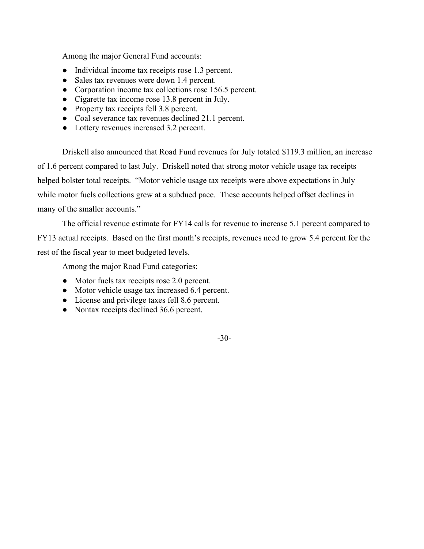Among the major General Fund accounts:

- Individual income tax receipts rose 1.3 percent.
- Sales tax revenues were down 1.4 percent.
- Corporation income tax collections rose 156.5 percent.
- Cigarette tax income rose 13.8 percent in July.
- Property tax receipts fell 3.8 percent.
- Coal severance tax revenues declined 21.1 percent.
- Lottery revenues increased 3.2 percent.

 Driskell also announced that Road Fund revenues for July totaled \$119.3 million, an increase of 1.6 percent compared to last July. Driskell noted that strong motor vehicle usage tax receipts helped bolster total receipts. "Motor vehicle usage tax receipts were above expectations in July while motor fuels collections grew at a subdued pace. These accounts helped offset declines in many of the smaller accounts."

 The official revenue estimate for FY14 calls for revenue to increase 5.1 percent compared to FY13 actual receipts. Based on the first month's receipts, revenues need to grow 5.4 percent for the rest of the fiscal year to meet budgeted levels.

Among the major Road Fund categories:

- Motor fuels tax receipts rose 2.0 percent.
- Motor vehicle usage tax increased 6.4 percent.
- License and privilege taxes fell 8.6 percent.
- Nontax receipts declined 36.6 percent.

-30-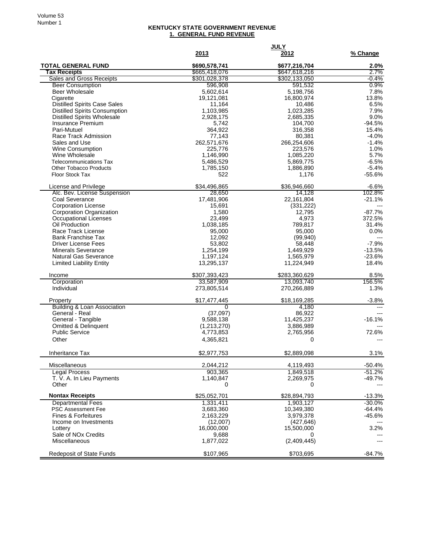## **KENTUCKY STATE GOVERNMENT REVENUE 1. GENERAL FUND REVENUE**

|                                                        |                                | <b>JULY</b>                    |                      |
|--------------------------------------------------------|--------------------------------|--------------------------------|----------------------|
|                                                        | 2013                           | 2012                           | % Change             |
| <b>TOTAL GENERAL FUND</b>                              | \$690,578,741                  | \$677,216,704                  | 2.0%                 |
| <b>Tax Receipts</b><br><b>Sales and Gross Receipts</b> | \$665,418,076<br>\$301,028,378 | \$647,618,216<br>\$302,133,050 | 2.7%<br>-0.4%        |
| <b>Beer Consumption</b>                                | 596,908                        | 591,532                        | 0.9%                 |
| Beer Wholesale                                         | 5,602,614                      | 5,198,756                      | 7.8%                 |
| Cigarette                                              | 19,121,081                     | 16,800,974                     | 13.8%                |
| <b>Distilled Spirits Case Sales</b>                    | 11,164                         | 10,486                         | 6.5%                 |
| <b>Distilled Spirits Consumption</b>                   | 1,103,985                      | 1,023,285                      | 7.9%                 |
| <b>Distilled Spirits Wholesale</b>                     | 2,928,175                      | 2,685,335                      | 9.0%                 |
| Insurance Premium                                      | 5,742                          | 104,700                        | $-94.5%$             |
| Pari-Mutuel<br>Race Track Admission                    | 364,922<br>77,143              | 316,358<br>80,381              | 15.4%<br>$-4.0%$     |
| Sales and Use                                          | 262,571,676                    | 266,254,606                    | $-1.4%$              |
| Wine Consumption                                       | 225,776                        | 223,576                        | 1.0%                 |
| Wine Wholesale                                         | 1,146,990                      | 1,085,220                      | 5.7%                 |
| <b>Telecommunications Tax</b>                          | 5,486,529                      | 5,869,775                      | $-6.5%$              |
| <b>Other Tobacco Products</b>                          | 1,785,150                      | 1,886,890                      | $-5.4%$              |
| <b>Floor Stock Tax</b>                                 | 522                            | 1,176                          | $-55.6%$             |
| License and Privilege                                  | \$34,496,865                   | \$36,946,660                   | $-6.6%$              |
| Alc. Bev. License Suspension                           | 28,650                         | 14,128                         | 102.8%               |
| Coal Severance                                         | 17,481,906                     | 22,161,804                     | $-21.1%$             |
| <b>Corporation License</b>                             | 15,691                         | (331, 222)                     |                      |
| Corporation Organization                               | 1,580                          | 12,795                         | $-87.7%$             |
| Occupational Licenses                                  | 23,499                         | 4,973                          | 372.5%               |
| Oil Production                                         | 1,038,185                      | 789,817                        | 31.4%                |
| Race Track License                                     | 95,000                         | 95,000                         | 0.0%                 |
| <b>Bank Franchise Tax</b>                              | 12,092                         | (99, 940)                      | $\overline{a}$       |
| <b>Driver License Fees</b>                             | 53,802                         | 58,448                         | $-7.9%$              |
| <b>Minerals Severance</b><br>Natural Gas Severance     | 1,254,199<br>1,197,124         | 1,449,929<br>1,565,979         | $-13.5%$<br>$-23.6%$ |
| <b>Limited Liability Entity</b>                        | 13,295,137                     | 11,224,949                     | 18.4%                |
| Income                                                 | \$307,393,423                  | \$283,360,629                  | 8.5%                 |
| Corporation                                            | 33,587,909                     | 13,093,740                     | 156.5%               |
| Individual                                             | 273,805,514                    | 270,266,889                    | 1.3%                 |
| Property                                               | \$17,477,445                   | \$18,169,285                   | $-3.8%$              |
| <b>Building &amp; Loan Association</b>                 | 0                              | 4,180                          | $- - -$              |
| General - Real                                         | (37,097)                       | 86,922                         |                      |
| General - Tangible                                     | 9,588,138                      | 11,425,237                     | $-16.1%$             |
| Omitted & Delinquent                                   | (1,213,270)                    | 3,886,989                      |                      |
| <b>Public Service</b>                                  | 4,773,853                      | 2,765,956                      | 72.6%                |
| Other                                                  | 4,365,821                      | 0                              |                      |
| Inheritance Tax                                        | \$2,977,753                    | \$2,889,098                    | 3.1%                 |
| Miscellaneous                                          | 2,044,212                      | 4,119,493                      | $-50.4%$             |
| <b>Legal Process</b>                                   | 903,365                        | 1,849,518                      | $-51.2%$             |
| T. V. A. In Lieu Payments                              | 1,140,847                      | 2,269,975                      | $-49.7%$             |
| Other                                                  | 0                              | 0                              |                      |
| <b>Nontax Receipts</b>                                 | \$25,052,701                   | \$28,894,793                   | $-13.3%$             |
| <b>Departmental Fees</b>                               | 1,331,411                      | 1,903,127                      | $-30.0%$             |
| <b>PSC Assessment Fee</b>                              | 3,683,360                      | 10,349,380                     | $-64.4%$             |
| <b>Fines &amp; Forfeitures</b>                         | 2,163,229                      | 3,979,378                      | $-45.6%$             |
| Income on Investments                                  | (12,007)                       | (427, 646)                     |                      |
| Lottery                                                | 16,000,000                     | 15,500,000                     | 3.2%                 |
| Sale of NO <sub>x</sub> Credits<br>Miscellaneous       | 9,688<br>1,877,022             | 0<br>(2,409,445)               | ---                  |
|                                                        |                                |                                |                      |
| Redeposit of State Funds                               | \$107,965                      | \$703,695                      | $-84.7%$             |